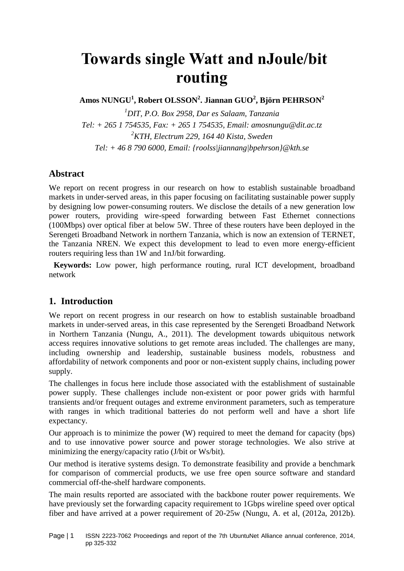# **Towards single Watt and nJoule/bit routing**

**Amos NUNGU<sup>1</sup> , Robert OLSSON<sup>2</sup> . Jiannan GUO<sup>2</sup> , Björn PEHRSON<sup>2</sup>**

*<sup>1</sup>DIT, P.O. Box 2958, Dar es Salaam, Tanzania Tel: + 265 1 754535, Fax: + 265 1 754535, Email: amosnungu@dit.ac.tz <sup>2</sup>KTH, Electrum 229, 164 40 Kista, Sweden Tel: + 46 8 790 6000, Email: {roolss|jiannang|bpehrson}@kth.se*

## **Abstract**

We report on recent progress in our research on how to establish sustainable broadband markets in under-served areas, in this paper focusing on facilitating sustainable power supply by designing low power-consuming routers. We disclose the details of a new generation low power routers, providing wire-speed forwarding between Fast Ethernet connections (100Mbps) over optical fiber at below 5W. Three of these routers have been deployed in the Serengeti Broadband Network in northern Tanzania, which is now an extension of TERNET, the Tanzania NREN. We expect this development to lead to even more energy-efficient routers requiring less than 1W and 1nJ/bit forwarding.

**Keywords:** Low power, high performance routing, rural ICT development, broadband network

## **1. Introduction**

We report on recent progress in our research on how to establish sustainable broadband markets in under-served areas, in this case represented by the Serengeti Broadband Network in Northern Tanzania (Nungu, A., 2011). The development towards ubiquitous network access requires innovative solutions to get remote areas included. The challenges are many, including ownership and leadership, sustainable business models, robustness and affordability of network components and poor or non-existent supply chains, including power supply.

The challenges in focus here include those associated with the establishment of sustainable power supply. These challenges include non-existent or poor power grids with harmful transients and/or frequent outages and extreme environment parameters, such as temperature with ranges in which traditional batteries do not perform well and have a short life expectancy.

Our approach is to minimize the power (W) required to meet the demand for capacity (bps) and to use innovative power source and power storage technologies. We also strive at minimizing the energy/capacity ratio (J/bit or Ws/bit).

Our method is iterative systems design. To demonstrate feasibility and provide a benchmark for comparison of commercial products, we use free open source software and standard commercial off-the-shelf hardware components.

The main results reported are associated with the backbone router power requirements. We have previously set the forwarding capacity requirement to 1Gbps wireline speed over optical fiber and have arrived at a power requirement of 20-25w (Nungu, A. et al, (2012a, 2012b).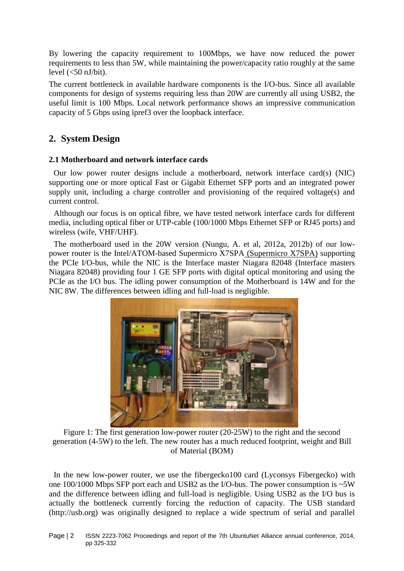By lowering the capacity requirement to 100Mbps, we have now reduced the power requirements to less than 5W, while maintaining the power/capacity ratio roughly at the same level  $\left(\langle 50 \text{ nJ/bit}\right)$ .

The current bottleneck in available hardware components is the I/O-bus. Since all available components for design of systems requiring less than 20W are currently all using USB2, the useful limit is 100 Mbps. Local network performance shows an impressive communication capacity of 5 Gbps using ipref3 over the loopback interface.

## **2. System Design**

#### **2.1 Motherboard and network interface cards**

Our low power router designs include a motherboard, network interface card(s) (NIC) supporting one or more optical Fast or Gigabit Ethernet SFP ports and an integrated power supply unit, including a charge controller and provisioning of the required voltage(s) and current control.

Although our focus is on optical fibre, we have tested network interface cards for different media, including optical fiber or UTP-cable (100/1000 Mbps Ethernet SFP or RJ45 ports) and wireless (wife, VHF/UHF).

The motherboard used in the 20W version (Nungu, A. et al, 2012a, 2012b) of our lowpower router is the Intel/ATOM-based Supermicro X7SPA (Supermicro X7SPA) supporting the PCIe I/O-bus, while the NIC is the Interface master Niagara 82048 (Interface masters Niagara 82048) providing four 1 GE SFP ports with digital optical monitoring and using the PCIe as the I/O bus. The idling power consumption of the Motherboard is 14W and for the NIC 8W. The differences between idling and full-load is negligible.



Figure 1: The first generation low-power router (20-25W) to the right and the second generation (4-5W) to the left. The new router has a much reduced footprint, weight and Bill of Material (BOM)

In the new low-power router, we use the fibergecko100 card (Lyconsys Fibergecko) with one 100/1000 Mbps SFP port each and USB2 as the I/O-bus. The power consumption is ~5W and the difference between idling and full-load is negligible. Using USB2 as the I/O bus is actually the bottleneck currently forcing the reduction of capacity. The USB standard (http://usb.org) was originally designed to replace a wide spectrum of serial and parallel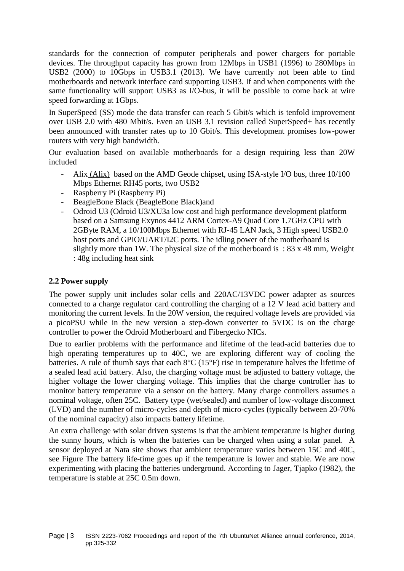standards for the connection of computer peripherals and power chargers for portable devices. The throughput capacity has grown from 12Mbps in USB1 (1996) to 280Mbps in USB2 (2000) to 10Gbps in USB3.1 (2013). We have currently not been able to find motherboards and network interface card supporting USB3. If and when components with the same functionality will support USB3 as I/O-bus, it will be possible to come back at wire speed forwarding at 1Gbps.

In SuperSpeed (SS) mode the data transfer can reach 5 Gbit/s which is tenfold improvement over USB 2.0 with 480 Mbit/s. Even an USB 3.1 revision called SuperSpeed+ has recently been announced with transfer rates up to 10 Gbit/s. This development promises low-power routers with very high bandwidth.

Our evaluation based on available motherboards for a design requiring less than 20W included

- Alix (Alix) based on the AMD Geode chipset, using ISA-style I/O bus, three 10/100 Mbps Ethernet RH45 ports, two USB2
- Raspberry Pi (Raspberry Pi)
- BeagleBone Black (BeagleBone Black)and
- Odroid U3 (Odroid U3/XU3a low cost and high performance development platform based on a Samsung Exynos 4412 ARM Cortex-A9 Quad Core 1.7GHz CPU with 2GByte RAM, a 10/100Mbps Ethernet with RJ-45 LAN Jack, 3 High speed USB2.0 host ports and GPIO/UART/I2C ports. The idling power of the motherboard is slightly more than 1W. The physical size of the motherboard is  $: 83 \times 48$  mm, Weight : 48g including heat sink

#### **2.2 Power supply**

The power supply unit includes solar cells and 220AC/13VDC power adapter as sources connected to a charge regulator card controlling the charging of a 12 V lead acid battery and monitoring the current levels. In the 20W version, the required voltage levels are provided via a picoPSU while in the new version a step-down converter to 5VDC is on the charge controller to power the Odroid Motherboard and Fibergecko NICs.

Due to earlier problems with the performance and lifetime of the lead-acid batteries due to high operating temperatures up to 40C, we are exploring different way of cooling the batteries. A rule of thumb says that each 8°C (15°F) rise in temperature halves the lifetime of a sealed lead acid battery. Also, the charging voltage must be adjusted to battery voltage, the higher voltage the lower charging voltage. This implies that the charge controller has to monitor battery temperature via a sensor on the battery. Many charge controllers assumes a nominal voltage, often 25C. Battery type (wet/sealed) and number of low-voltage disconnect (LVD) and the number of micro-cycles and depth of micro-cycles (typically between 20-70% of the nominal capacity) also impacts battery lifetime.

An extra challenge with solar driven systems is that the ambient temperature is higher during the sunny hours, which is when the batteries can be charged when using a solar panel. A sensor deployed at Nata site shows that ambient temperature varies between 15C and 40C, see Figure The battery life-time goes up if the temperature is lower and stable. We are now experimenting with placing the batteries underground. According to Jager, Tjapko (1982), the temperature is stable at 25C 0.5m down.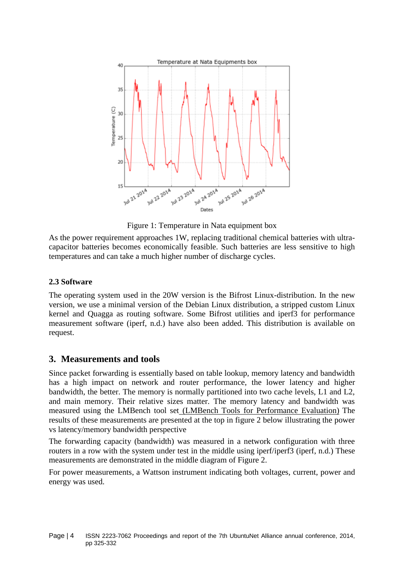

Figure 1: Temperature in Nata equipment box

As the power requirement approaches 1W, replacing traditional chemical batteries with ultracapacitor batteries becomes economically feasible. Such batteries are less sensitive to high temperatures and can take a much higher number of discharge cycles.

#### **2.3 Software**

The operating system used in the 20W version is the Bifrost Linux-distribution. In the new version, we use a minimal version of the Debian Linux distribution, a stripped custom Linux kernel and Quagga as routing software. Some Bifrost utilities and iperf3 for performance measurement software (iperf, n.d.) have also been added. This distribution is available on request.

#### **3. Measurements and tools**

Since packet forwarding is essentially based on table lookup, memory latency and bandwidth has a high impact on network and router performance, the lower latency and higher bandwidth, the better. The memory is normally partitioned into two cache levels, L1 and L2, and main memory. Their relative sizes matter. The memory latency and bandwidth was measured using the LMBench tool set (LMBench Tools for Performance Evaluation) The results of these measurements are presented at the top in figure 2 below illustrating the power vs latency/memory bandwidth perspective

The forwarding capacity (bandwidth) was measured in a network configuration with three routers in a row with the system under test in the middle using iperf/iperf3 (iperf, n.d.) These measurements are demonstrated in the middle diagram of Figure 2.

For power measurements, a Wattson instrument indicating both voltages, current, power and energy was used.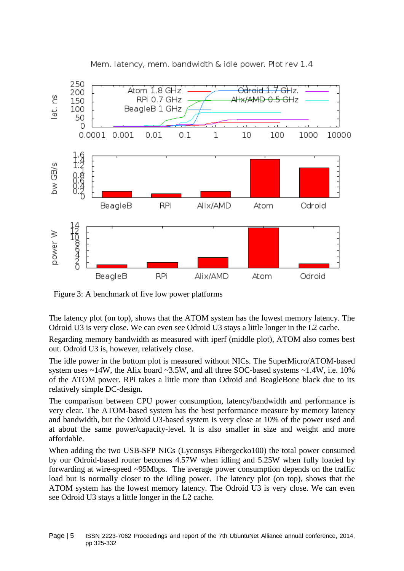

Mem. latency, mem. bandwidth & idle power. Plot rev 1.4

Figure 3: A benchmark of five low power platforms

The latency plot (on top), shows that the ATOM system has the lowest memory latency. The Odroid U3 is very close. We can even see Odroid U3 stays a little longer in the L2 cache.

Regarding memory bandwidth as measured with iperf (middle plot), ATOM also comes best out. Odroid U3 is, however, relatively close.

The idle power in the bottom plot is measured without NICs. The SuperMicro/ATOM-based system uses  $\sim$ 14W, the Alix board  $\sim$ 3.5W, and all three SOC-based systems  $\sim$ 1.4W, i.e. 10% of the ATOM power. RPi takes a little more than Odroid and BeagleBone black due to its relatively simple DC-design.

The comparison between CPU power consumption, latency/bandwidth and performance is very clear. The ATOM-based system has the best performance measure by memory latency and bandwidth, but the Odroid U3-based system is very close at 10% of the power used and at about the same power/capacity-level. It is also smaller in size and weight and more affordable.

When adding the two USB-SFP NICs (Lyconsys Fibergecko100) the total power consumed by our Odroid-based router becomes 4.57W when idling and 5.25W when fully loaded by forwarding at wire-speed ~95Mbps. The average power consumption depends on the traffic load but is normally closer to the idling power. The latency plot (on top), shows that the ATOM system has the lowest memory latency. The Odroid U3 is very close. We can even see Odroid U3 stays a little longer in the L2 cache.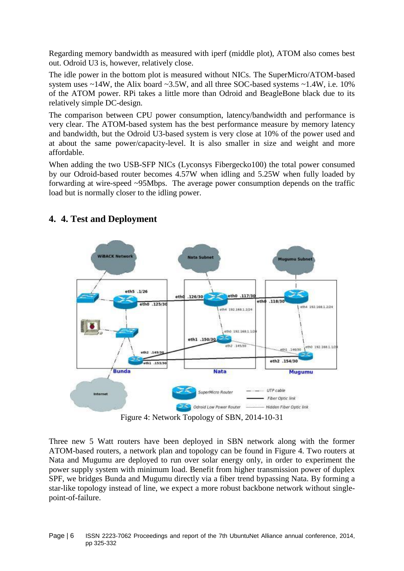Regarding memory bandwidth as measured with iperf (middle plot), ATOM also comes best out. Odroid U3 is, however, relatively close.

The idle power in the bottom plot is measured without NICs. The SuperMicro/ATOM-based system uses  $\sim$ 14W, the Alix board  $\sim$ 3.5W, and all three SOC-based systems  $\sim$ 1.4W, i.e. 10% of the ATOM power. RPi takes a little more than Odroid and BeagleBone black due to its relatively simple DC-design.

The comparison between CPU power consumption, latency/bandwidth and performance is very clear. The ATOM-based system has the best performance measure by memory latency and bandwidth, but the Odroid U3-based system is very close at 10% of the power used and at about the same power/capacity-level. It is also smaller in size and weight and more affordable.

When adding the two USB-SFP NICs (Lyconsys Fibergecko100) the total power consumed by our Odroid-based router becomes 4.57W when idling and 5.25W when fully loaded by forwarding at wire-speed ~95Mbps. The average power consumption depends on the traffic load but is normally closer to the idling power.



# **4. 4. Test and Deployment**

Figure 4: Network Topology of SBN, 2014-10-31

Three new 5 Watt routers have been deployed in SBN network along with the former ATOM-based routers, a network plan and topology can be found in Figure 4. Two routers at Nata and Mugumu are deployed to run over solar energy only, in order to experiment the power supply system with minimum load. Benefit from higher transmission power of duplex SPF, we bridges Bunda and Mugumu directly via a fiber trend bypassing Nata. By forming a star-like topology instead of line, we expect a more robust backbone network without singlepoint-of-failure.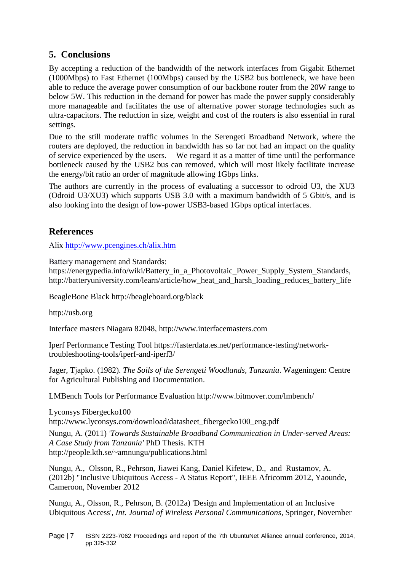# **5. Conclusions**

By accepting a reduction of the bandwidth of the network interfaces from Gigabit Ethernet (1000Mbps) to Fast Ethernet (100Mbps) caused by the USB2 bus bottleneck, we have been able to reduce the average power consumption of our backbone router from the 20W range to below 5W. This reduction in the demand for power has made the power supply considerably more manageable and facilitates the use of alternative power storage technologies such as ultra-capacitors. The reduction in size, weight and cost of the routers is also essential in rural settings.

Due to the still moderate traffic volumes in the Serengeti Broadband Network, where the routers are deployed, the reduction in bandwidth has so far not had an impact on the quality of service experienced by the users. We regard it as a matter of time until the performance bottleneck caused by the USB2 bus can removed, which will most likely facilitate increase the energy/bit ratio an order of magnitude allowing 1Gbps links.

The authors are currently in the process of evaluating a successor to odroid U3, the XU3 (Odroid U3/XU3) which supports USB 3.0 with a maximum bandwidth of 5 Gbit/s, and is also looking into the design of low-power USB3-based 1Gbps optical interfaces.

## **References**

Alix <http://www.pcengines.ch/alix.htm>

Battery management and Standards:

https://energypedia.info/wiki/Battery\_in\_a\_Photovoltaic\_Power\_Supply\_System\_Standards, http://batteryuniversity.com/learn/article/how\_heat\_and\_harsh\_loading\_reduces\_battery\_life

BeagleBone Black http://beagleboard.org/black

http://usb.org

Interface masters Niagara 82048, http://www.interfacemasters.com

Iperf Performance Testing Tool https://fasterdata.es.net/performance-testing/networktroubleshooting-tools/iperf-and-iperf3/

Jager, Tjapko. (1982). *The Soils of the Serengeti Woodlands, Tanzania*. Wageningen: Centre for Agricultural Publishing and Documentation.

LMBench Tools for Performance Evaluation http://www.bitmover.com/lmbench/

Lyconsys Fibergecko100 http://www.lyconsys.com/download/datasheet\_fibergecko100\_eng.pdf

Nungu, A. (2011) *'Towards Sustainable Broadband Communication in Under-served Areas: A Case Study from Tanzania'* PhD Thesis. KTH http://people.kth.se/~amnungu/publications.html

Nungu, A., Olsson, R., Pehrson, Jiawei Kang, Daniel Kifetew, D., and Rustamov, A. (2012b) "Inclusive Ubiquitous Access - A Status Report", IEEE Africomm 2012, Yaounde, Cameroon, November 2012

Nungu, A., Olsson, R., Pehrson, B. (2012a) 'Design and Implementation of an Inclusive Ubiquitous Access', *Int. Journal of Wireless Personal Communications,* Springer, November